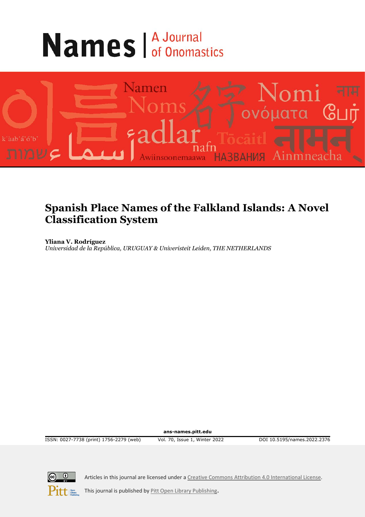# **Names** *A Journal*



# **Spanish Place Names of the Falkland Islands: A Novel Classification System**

**Yliana V. Rodríguez** *Universidad de la República, URUGUAY & Univeristeit Leiden, THE NETHERLANDS*

**ans-names.pitt.edu**

ISSN: 0027-7738 (print) 1756-2279 (web) Vol. 70, Issue 1, Winter 2022 DOI 10.5195/names.2022.2376



Articles in this journal are licensed under [a Creative Commons Attribution 4.0 International License.](https://creativecommons.org/licenses/by/4.0/)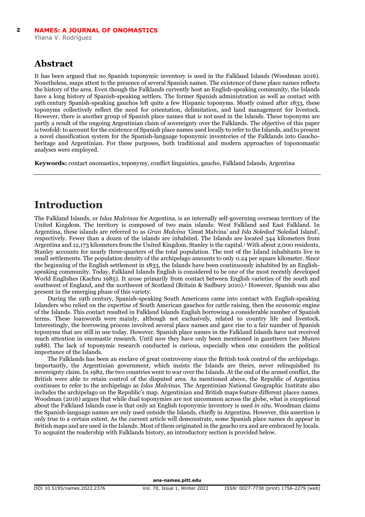## **Abstract**

It has been argued that no Spanish toponymic inventory is used in the Falkland Islands (Woodman 2016). Nonetheless, maps attest to the presence of several Spanish names. The existence of these place names reflects the history of the area. Even though the Falklands currently host an English-speaking community, the Islands have a long history of Spanish-speaking settlers. The former Spanish administration as well as contact with 19th century Spanish-speaking gauchos left quite a few Hispanic toponyms. Mostly coined after 1833, these toponyms collectively reflect the need for orientation, delimitation, and land management for livestock. However, there is another group of Spanish place names that is not used in the Islands. These toponyms are partly a result of the ongoing Argentinian claim of sovereignty over the Falklands. The objective of this paper is twofold: to account for the existence of Spanish place names used locally to refer to the Islands, and to present a novel classification system for the Spanish-language toponymic inventories of the Falklands into Gauchoheritage and Argentinian. For these purposes, both traditional and modern approaches of toponomastic analyses were employed.

**Keywords:** contact onomastics, toponymy, conflict linguistics, gaucho, Falkland Islands, Argentina

# **Introduction**

The Falkland Islands, or *Islas Malvinas* for Argentina, is an internally self-governing overseas territory of the [United Kingdom.](https://www.britannica.com/place/United-Kingdom) The territory is composed of two main islands: West Falkland and East Falkland. In Argentina, these islands are referred to as *Gran Malvina* 'Great Malvina' and *Isla Soledad* 'Soledad Island', respectively. Fewer than a dozen of the islands are inhabited. The Islands are located 344 kilometers from Argentina and 12,173 kilometers from the United Kingdom. Stanley is the capital.1 With about 2,000 residents, Stanley accounts for nearly three-quarters of the total population. The rest of the Island inhabitants live in small settlements. The population density of the archipelago amounts to only 0.24 per square kilometer. Since the beginning of the English settlement in 1833, the Islands have been continuously inhabited by an Englishspeaking community. Today, Falkland Islands English is considered to be one of the most recently developed World Englishes (Kachru 1985). It arose primarily from contact between English varieties of the south and southwest of England, and the northwest of Scotland (Britain & Sudbury 2010).2 However, Spanish was also present in the emerging phase of this variety.

During the 19th century, Spanish-speaking South Americans came into contact with English-speaking Islanders who relied on the expertise of South American gauchos for cattle raising, then the economic engine of the Islands. This contact resulted in Falkland Islands English borrowing a considerable number of Spanish terms. These loanwords were mainly, although not exclusively, related to country life and livestock. Interestingly, the borrowing process involved several place names and gave rise to a fair number of Spanish toponyms that are still in use today. However, Spanish place names in the Falkland Islands have not received much attention in onomastic research. Until now they have only been mentioned in gazetteers (see Munro 1988). The lack of toponymic research conducted is curious, especially when one considers the political importance of the Islands.

The Falklands has been an enclave of great controversy since the British took control of the archipelago. Importantly, the Argentinian government, which insists the Islands are theirs, never relinquished its sovereignty claim. In 1982, the two countries went to war over the Islands. At the end of the armed conflict, the British were able to retain control of the disputed area. As mentioned above, the Republic of Argentina continues to refer to the archipelago as *Islas Malvinas*. The Argentinian National Geographic Institute also includes the archipelago on the Republic's map. Argentinian and British maps feature different places names. Woodman (2016) argues that while dual toponymies are not uncommon across the globe, what is exceptional about the Falkland Islands case is that only an English toponymic inventory is used *in situ*. Woodman claims the Spanish-language names are only used outside the Islands, chiefly in Argentina. However, this assertion is only true to a certain extent. As the current article will demonstrate, some Spanish place names do appear in British maps and are used in the Islands. Most of them originated in the gaucho era and are embraced by locals. To acquaint the readership with Falklands history, an introductory section is provided below.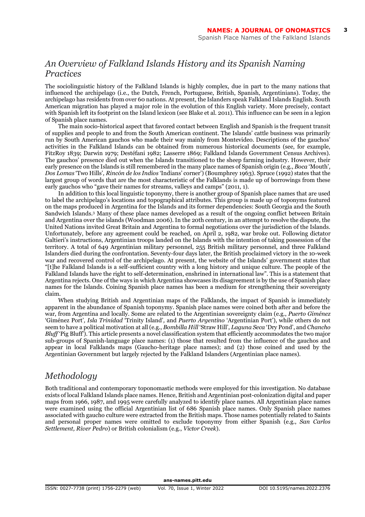**3**

## *An Overview of Falkland Islands History and its Spanish Naming Practices*

The sociolinguistic history of the Falkland Islands is highly complex, due in part to the many nations that influenced the archipelago (i.e., the Dutch, French, Portuguese, British, Spanish, Argentinians). Today, the archipelago has residents from over 60 nations. At present, the Islanders speak Falkland Islands English. South American migration has played a major role in the evolution of this English variety. More precisely, contact with Spanish left its footprint on the Island lexicon (see Blake et al. 2011). This influence can be seen in a legion of Spanish place names.

The main socio-historical aspect that favored contact between English and Spanish is the frequent transit of supplies and people to and from the South American continent. The Islands' cattle business was primarily run by South American gauchos who made their way mainly from Montevideo. Descriptions of the gauchos' activities in the Falkland Islands can be obtained from numerous historical documents (see, for example, FitzRoy 1839; Darwin 1979; Destéfani 1982; Lasserre 1869; Falkland Islands Government Census Archives). The gauchos' presence died out when the Islands transitioned to the sheep farming industry. However, their early presence on the Islands is still remembered in the many place names of Spanish origin (e.g., *Boca* 'Mouth'*, Dos Lomas* 'Two Hills'*, Rincón de los Indios* 'Indians' corner') (Boumphrey 1963). Spruce (1992) states that the largest group of words that are the most characteristic of the Falklands is made up of borrowings from these early gauchos who "gave their names for streams, valleys and camps" (2011, 1).

In addition to this local linguistic toponymy, there is another group of Spanish place names that are used to label the archipelago's locations and topographical attributes. This group is made up of toponyms featured on the maps produced in Argentina for the Islands and its former dependencies: South Georgia and the South Sandwich Islands.3 Many of these place names developed as a result of the ongoing conflict between Britain and Argentina over the islands (Woodman 2006). In the 20th century, in an attempt to resolve the dispute, the United Nations invited Great Britain and Argentina to formal negotiations over the jurisdiction of the Islands. Unfortunately, before any agreement could be reached, on April 2, 1982, war broke out. Following dictator Galtieri's instructions, Argentinian troops landed on the Islands with the intention of taking possession of the territory. A total of 649 Argentinian military personnel, 255 British military personnel, and three Falkland Islanders died during the confrontation. Seventy-four days later, the British proclaimed victory in the 10-week war and recovered control of the archipelago. At present, the website of the Islands' government states that "[t]he Falkland Islands is a self-sufficient country with a long history and unique culture. The people of the Falkland Islands have the right to self-determination, enshrined in international law". This is a statement that Argentina rejects. One of the ways in which Argentina showcases its disagreement is by the use of Spanish place names for the Islands. Coining Spanish place names has been a medium for strengthening their sovereignty claim.

When studying British and Argentinian maps of the Falklands, the impact of Spanish is immediately apparent in the abundance of Spanish toponymy. Spanish place names were coined both after and before the war, from Argentina and locally. Some are related to the Argentinian sovereignty claim (e.g., *Puerto Giménez* 'Giménez Port'*, Isla Trinidad* 'Trinity Island'*,* and *Puerto Argentino* 'Argentinian Port'), while others do not seem to have a political motivation at all (e.g., *Bombilla Hill* 'Straw Hill', *Laguna Seca* 'Dry Pond', and *Chancho Bluff* 'Pig Bluff'). This article presents a novel classification system that efficiently accommodates the two major sub-groups of Spanish-language place names: (1) those that resulted from the influence of the gauchos and appear in local Falklands maps (Gaucho-heritage place names); and (2) those coined and used by the Argentinian Government but largely rejected by the Falkland Islanders (Argentinian place names).

## *Methodology*

Both traditional and contemporary toponomastic methods were employed for this investigation. No database exists of local Falkland Islands place names. Hence, British and Argentinian post-colonization digital and paper maps from 1966, 1987, and 1995 were carefully analyzed to identify place names. All Argentinian place names were examined using the official Argentinian list of 686 Spanish place names. Only Spanish place names associated with gaucho culture were extracted from the British maps. Those names potentially related to Saints and personal proper names were omitted to exclude toponymy from either Spanish (e.g., *San Carlos Settlement, River Pedro*) or British colonialism (e.g., *Victor Creek*).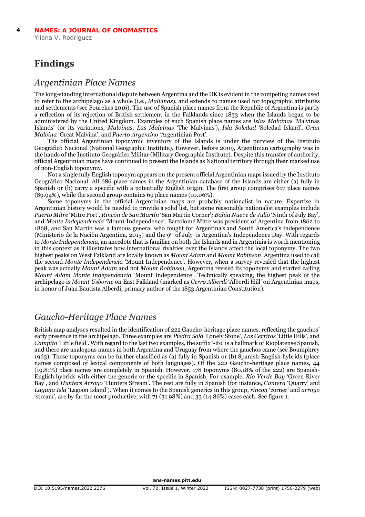## **Findings**

## *Argentinian Place Names*

The long-standing international dispute between Argentina and the UK is evident in the competing names used to refer to the archipelago as a whole (i.e., *Malvinas*), and extends to names used for topographic attributes and settlements (see Fourches 2016). The use of Spanish place names from the Republic of Argentina is partly a reflection of its rejection of British settlement in the Falklands since 1833 when the Islands began to be administered by the United Kingdom. Examples of such Spanish place names are *Islas Malvinas* 'Malvinas Islands' (or its variations, *Malvinas*, *Las Malvinas* 'The Malvinas'), *Isla Soledad* 'Soledad Island', *Gran Malvina* 'Great Malvina', and *Puerto Argentino* 'Argentinian Port'.

The official Argentinian toponymic inventory of the Islands is under the purview of the Instituto Geográfico Nacional (National Geographic Institute). However, before 2009, Argentinian cartography was in the hands of the Instituto Geográfico Militar (Military Geographic Institute). Despite this transfer of authority, official Argentinian maps have continued to present the Islands as National territory through their marked use of non-English toponymy.

Not a single fully English toponym appears on the present official Argentinian maps issued by the Instituto Geográfico Nacional. All 686 place names in the Argentinian database of the Islands are either (a) fully in Spanish or (b) carry a specific with a potentially English origin. The first group comprises 617 place names (89.94%), while the second group contains 69 place names (10.06%).

Some toponyms in the official Argentinian maps are probably nationalist in nature. Expertise in Argentinian history would be needed to provide a solid list, but some reasonable nationalist examples include *Puerto Mitre* 'Mitre Port'*, Rincón de San Martín* 'San Martín Corner'*; Bahía Nueve de Julio* 'Ninth of July Bay'*,*  and *Monte Independencia* 'Mount Independence'. Bartolomé Mitre was president of Argentina from 1862 to 1868, and San Martín was a famous general who fought for Argentina's and South America's independence (Ministerio de la Nación Argentina, 2015) and the 9th of July is Argentina's Independence Day. With regards to *Monte Independencia*, an anecdote that is familiar on both the Islands and in Argentinia is worth mentioning in this context as it illustrates how international rivalries over the Islands affect the local toponymy. The two highest peaks on West Falkland are locally known as *Mount Adam* and *Mount Robinson*. Argentina used to call the second *Monte Independencia* 'Mount Independence'. However, when a survey revealed that the highest peak was actually *Mount Adam* and not *Mount Robinson*, Argentina revised its toponymy and started calling *Mount Adam Monte Independencia* 'Mount Independence'. Technically speaking, the highest peak of the archipelago is *Mount Usborne* on East Falkland (marked as *Cerro Alberdi* 'Alberdi Hill' on Argentinian maps, in honor of Juan Bautista Alberdi, primary author of the 1853 Argentinian Constitution).

## *Gaucho-Heritage Place Names*

British map analyses resulted in the identification of 222 Gaucho-heritage place names, reflecting the gauchos' early presence in the archipelago. Three examples are *Piedra Sola* 'Lonely Stone', *Los Cerritos* 'Little Hills', and *Campito* 'Little field'. With regard to the last two examples, the suffix '-ito' is a hallmark of Rioplatense Spanish, and there are analogous names in both Argentina and Uruguay from where the gauchos came (see Boumphrey 1963). These toponyms can be further classified as (a) fully in Spanish or (b) Spanish-English hybrids (place names composed of lexical components of both languages). Of the 222 Gaucho-heritage place names, 44 (19.81%) place names are completely in Spanish. However, 178 toponyms (80.18% of the 222) are Spanish-English hybrids with either the generic or the specific in Spanish. For example, *Rio Verde Bay* 'Green River Bay', and *Hunters Arroyo* 'Hunters Stream'. The rest are fully in Spanish (for instance, *Cantera* 'Quarry' and *Laguna Isla* 'Lagoon Island'). When it comes to the Spanish generics in this group, *rincon* 'corner' and *arroyo* 'stream', are by far the most productive, with 71 (31.98%) and 33 (14.86%) cases each. See figure 1.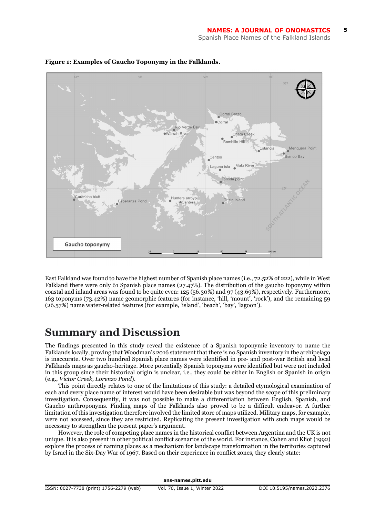

#### **Figure 1: Examples of Gaucho Toponymy in the Falklands.**

East Falkland was found to have the highest number of Spanish place names (i.e., 72.52% of 222), while in West Falkland there were only 61 Spanish place names (27.47%). The distribution of the gaucho toponymy within coastal and inland areas was found to be quite even: 125 (56.30%) and 97 (43.69%), respectively. Furthermore, 163 toponyms (73.42%) name geomorphic features (for instance, 'hill, 'mount', 'rock'), and the remaining 59 (26.57%) name water-related features (for example, 'island', 'beach', 'bay', 'lagoon').

## **Summary and Discussion**

The findings presented in this study reveal the existence of a Spanish toponymic inventory to name the Falklands locally, proving that Woodman's 2016 statement that there is no Spanish inventory in the archipelago is inaccurate. Over two hundred Spanish place names were identified in pre- and post-war British and local Falklands maps as gaucho-heritage. More potentially Spanish toponyms were identified but were not included in this group since their historical origin is unclear, i.e., they could be either in English or Spanish in origin (e.g., *Victor Creek, Lorenzo Pond*).

This point directly relates to one of the limitations of this study: a detailed etymological examination of each and every place name of interest would have been desirable but was beyond the scope of this preliminary investigation. Consequently, it was not possible to make a differentiation between English, Spanish, and Gaucho anthroponyms. Finding maps of the Falklands also proved to be a difficult endeavor. A further limitation of this investigation therefore involved the limited store of maps utilized. Military maps, for example, were not accessed, since they are restricted. Replicating the present investigation with such maps would be necessary to strengthen the present paper's argument.

However, the role of competing place names in the historical conflict between Argentina and the UK is not unique. It is also present in other political conflict scenarios of the world. For instance, Cohen and Kliot (1992) explore the process of naming places as a mechanism for landscape transformation in the territories captured by Israel in the Six-Day War of 1967. Based on their experience in conflict zones, they clearly state: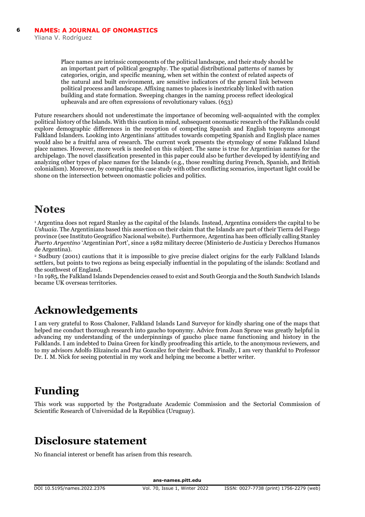Place names are intrinsic components of the political landscape, and their study should be an important part of political geography. The spatial distributional patterns of names by categories, origin, and specific meaning, when set within the context of related aspects of the natural and built environment, are sensitive indicators of the general link between political process and landscape. Affixing names to places is inextricably linked with nation building and state formation. Sweeping changes in the naming process reflect ideological upheavals and are often expressions of revolutionary values. (653)

Future researchers should not underestimate the importance of becoming well-acquainted with the complex political history of the Islands. With this caution in mind, subsequent onomastic research of the Falklands could explore demographic differences in the reception of competing Spanish and English toponyms amongst Falkland Islanders. Looking into Argentinians' attitudes towards competing Spanish and English place names would also be a fruitful area of research. The current work presents the etymology of some Falkland Island place names. However, more work is needed on this subject. The same is true for Argentinian names for the archipelago. The novel classification presented in this paper could also be further developed by identifying and analyzing other types of place names for the Islands (e.g., those resulting during French, Spanish, and British colonialism). Moreover, by comparing this case study with other conflicting scenarios, important light could be shone on the intersection between onomastic policies and politics.

## **Notes**

<sup>1</sup> Argentina does not regard Stanley as the capital of the Islands. Instead, Argentina considers the capital to be *Ushuaia*. The Argentinians based this assertion on their claim that the Islands are part of their Tierra del Fuego province (see Instituto Geográfico Nacional website). Furthermore, Argentina has been officially calling Stanley *Puerto Argentino* 'Argentinian Port', since a 1982 military decree (Ministerio de Justicia y Derechos Humanos de Argentina).

<sup>2</sup> Sudbury (2001) cautions that it is impossible to give precise dialect origins for the early Falkland Islands settlers, but points to two regions as being especially influential in the populating of the islands: Scotland and the southwest of England.

<sup>3</sup> In 1985, the Falkland Islands Dependencies ceased to exist and South Georgia and the South Sandwich Islands became UK overseas territories.

# **Acknowledgements**

I am very grateful to Ross Chaloner, Falkland Islands Land Surveyor for kindly sharing one of the maps that helped me conduct thorough research into gaucho toponymy. Advice from Joan Spruce was greatly helpful in advancing my understanding of the underpinnings of gaucho place name functioning and history in the Falklands. I am indebted to Daina Green for kindly proofreading this article, to the anonymous reviewers, and to my advisors Adolfo Elizaincín and Paz González for their feedback. Finally, I am very thankful to Professor Dr. I. M. Nick for seeing potential in my work and helping me become a better writer.

# **Funding**

This work was supported by the Postgraduate Academic Commission and the Sectorial Commission of Scientific Research of Universidad de la República (Uruguay).

# **Disclosure statement**

No financial interest or benefit has arisen from this research.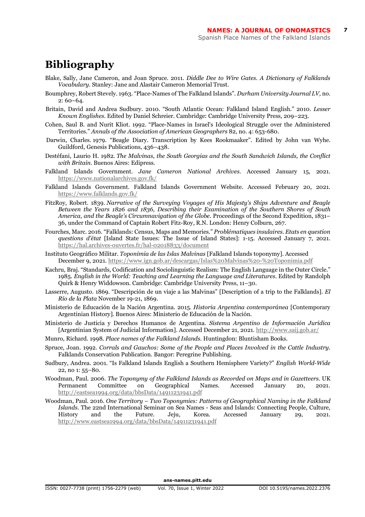**7**

# **Bibliography**

- Blake, Sally, Jane Cameron, and Joan Spruce. 2011. *Diddle Dee to Wire Gates. A Dictionary of Falklands Vocabulary*. Stanley: Jane and Alastair Cameron Memorial Trust.
- Boumphrey, Robert Stevely. 1963. "Place-Names of The Falkland Islands". *Durham University Journal LV,* no. 2: 60–64.
- Britain, David and Andrea Sudbury. 2010. "South Atlantic Ocean: Falkland Island English." 2010. *Lesser Known Englishes*. Edited by Daniel Schreier. Cambridge: Cambridge University Press, 209–223.
- Cohen, Saul B. and Nurit Kliot. 1992. "Place-Names in Israel's Ideological Struggle over the Administered Territories." *Annals of the Association of American Geographers* 82, no. 4: 653-680.
- Darwin, Charles. 1979. "Beagle Diary. Transcription by Kees Rookmaaker". Edited by John van Wyhe. Guildford, Genesis Publications, 436–438.
- Destéfani, Laurio H. 1982. *The Malvinas, the South Georgias and the South Sandwich Islands, the Conflict with Britain*. Buenos Aires: Edipress.
- Falkland Islands Government. *Jane Cameron National Archives*. Accessed January 15, 2021. <https://www.nationalarchives.gov.fk/>
- Falkland Islands Government. Falkland Islands Government Website. Accessed February 20, 2021. <https://www.falklands.gov.fk/>
- FitzRoy, Robert. 1839. *Narrative of the Surveying Voyages of His Majesty's Ships Adventure and Beagle Between the Years 1826 and 1836, Describing their Examination of the Southern Shores of South America, and the Beagle's Circumnavigation of the Globe.* Proceedings of the Second Expedition, 1831– 36, under the Command of Captain Robert Fitz-Roy, R.N. London: Henry Colburn, 267.
- Fourches, Marc. 2016. "Falklands: Census, Maps and Memories." *Problématiques insulaires. Etats en question questions d'état* [Island State Issues: The Issue of Island States]: 1-15. Accessed January 7, 2021. <https://hal.archives-ouvertes.fr/hal-02018833/document>
- Instituto Geográfico Militar. *Toponimia de las Islas Malvinas* [Falkland Islands toponymy]. Accessed December 9, 2021.<https://www.ign.gob.ar/descargas/Islas%20Malvinas%20-%20Toponimia.pdf>
- Kachru, Braj. "Standards, Codification and Sociolinguistic Realism: The English Language in the Outer Circle." 1985. *English in the World: Teaching and Learning the Language and Literatures*. Edited by Randolph Quirk & Henry Widdowson. Cambridge: Cambridge University Press, 11–30.
- Lasserre, Augusto. 1869. "Descripción de un viaje a las Malvinas" [Description of a trip to the Falklands]. *El Río de la Plata* November 19-21, 1869.
- Ministerio de Educación de la Nación Argentina. 2015. *Historia Argentina contemporánea* [Contemporary Argentinian History]. Buenos Aires: Ministerio de Educación de la Nación.
- Ministerio de Justicia y Derechos Humanos de Argentina. *Sistema Argentino de Información Jurídica* [Argentinian System of Judicial Information]. Accessed December 21, 2021. <http://www.saij.gob.ar/>
- Munro, Richard. 1998. *Place names of the Falkland Islands*. Huntingdon: Bluntisham Books.
- Spruce, Joan. 1992. *Corrals and Gauchos: Some of the People and Places Involved in the Cattle Industry*. Falklands Conservation Publication. Bangor: Peregrine Publishing.
- Sudbury, Andrea. 2001. "Is Falkland Islands English a Southern Hemisphere Variety?" *English World-Wide* 22, no 1: 55–80.
- Woodman, Paul. 2006. *The Toponymy of the Falkland Islands as Recorded on Maps and in Gazetteers*. UK Permanent Committee on Geographical Names. Accessed January 20, 2021. <http://eastsea1994.org/data/bbsData/14911231941.pdf>
- Woodman, Paul. 2016. *One Territory Two Toponymies: Patterns of Geographical Naming in the Falkland Islands*. The 22nd International Seminar on Sea Names - Seas and Islands: Connecting People, Culture, History and the Future. Jeju, Korea. Accessed January 29, 2021. <http://www.eastsea1994.org/data/bbsData/14911231941.pdf>